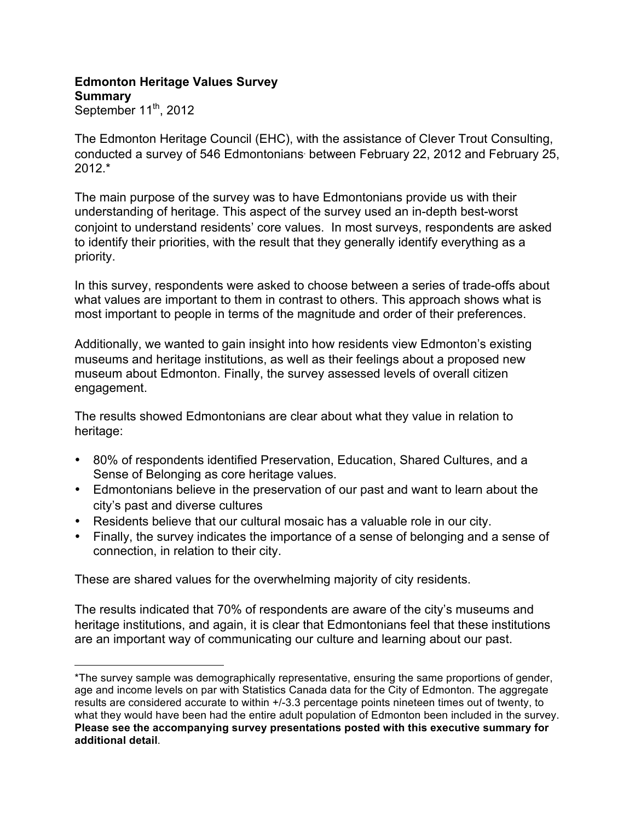## **Edmonton Heritage Values Survey Summary**

September  $11^{th}$ , 2012

 $\overline{a}$ 

The Edmonton Heritage Council (EHC), with the assistance of Clever Trout Consulting, conducted a survey of 546 Edmontonians<sup>∗</sup> between February 22, 2012 and February 25,  $2012.*$ 

The main purpose of the survey was to have Edmontonians provide us with their understanding of heritage. This aspect of the survey used an in-depth best-worst conjoint to understand residents' core values. In most surveys, respondents are asked to identify their priorities, with the result that they generally identify everything as a priority.

In this survey, respondents were asked to choose between a series of trade-offs about what values are important to them in contrast to others. This approach shows what is most important to people in terms of the magnitude and order of their preferences.

Additionally, we wanted to gain insight into how residents view Edmonton's existing museums and heritage institutions, as well as their feelings about a proposed new museum about Edmonton. Finally, the survey assessed levels of overall citizen engagement.

The results showed Edmontonians are clear about what they value in relation to heritage:

- 80% of respondents identified Preservation, Education, Shared Cultures, and a Sense of Belonging as core heritage values.
- Edmontonians believe in the preservation of our past and want to learn about the city's past and diverse cultures
- Residents believe that our cultural mosaic has a valuable role in our city.
- Finally, the survey indicates the importance of a sense of belonging and a sense of connection, in relation to their city.

These are shared values for the overwhelming majority of city residents.

The results indicated that 70% of respondents are aware of the city's museums and heritage institutions, and again, it is clear that Edmontonians feel that these institutions are an important way of communicating our culture and learning about our past.

<sup>\*</sup>The survey sample was demographically representative, ensuring the same proportions of gender, age and income levels on par with Statistics Canada data for the City of Edmonton. The aggregate results are considered accurate to within +/-3.3 percentage points nineteen times out of twenty, to what they would have been had the entire adult population of Edmonton been included in the survey. **Please see the accompanying survey presentations posted with this executive summary for additional detail**.